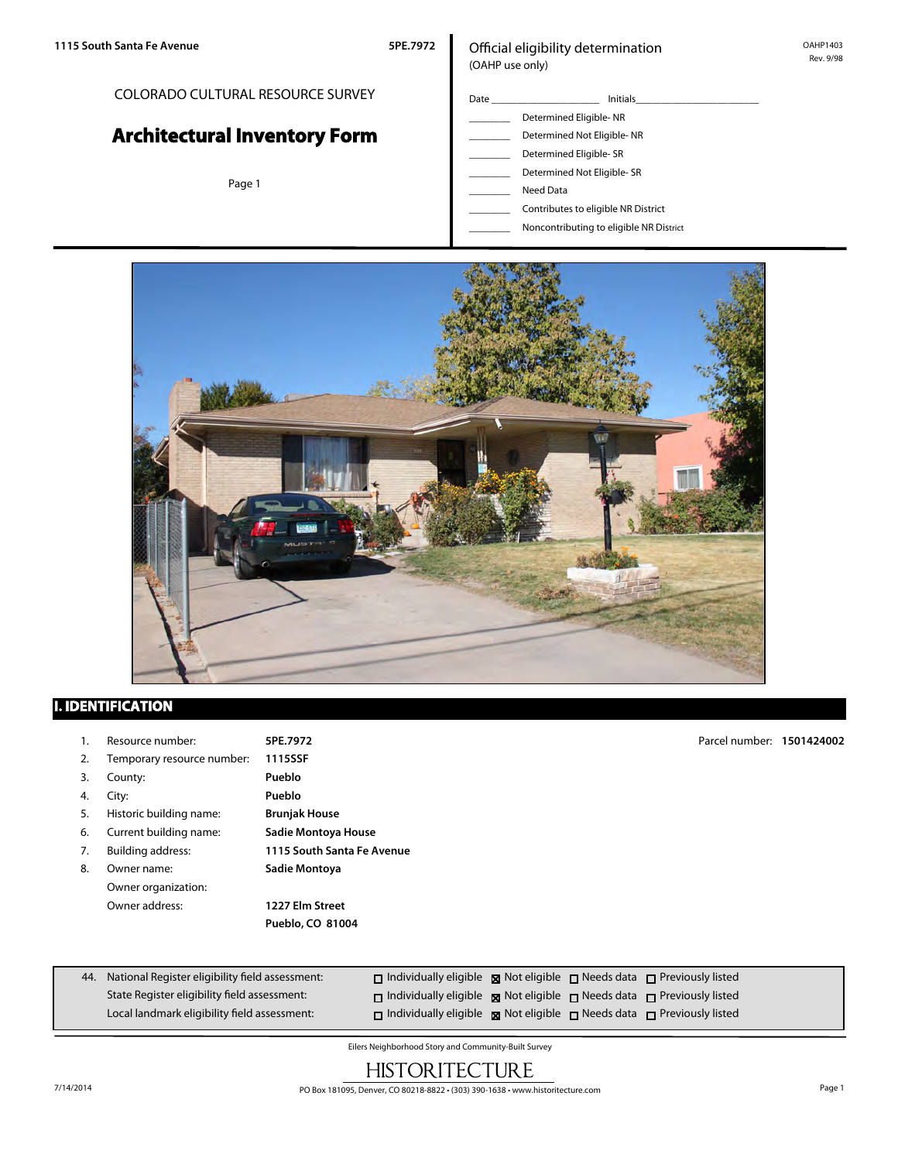## COLORADO CULTURAL RESOURCE SURVEY

# **Architectural Inventory Form**

Page 1

## Official eligibility determination (OAHP use only)

| Date | <b>Initials</b>                     |  |  |
|------|-------------------------------------|--|--|
|      | Determined Eligible-NR              |  |  |
|      | Determined Not Eligible-NR          |  |  |
|      | Determined Eligible-SR              |  |  |
|      | Determined Not Eligible- SR         |  |  |
|      | Need Data                           |  |  |
|      | Contributes to eligible NR District |  |  |

\_\_\_\_\_\_\_\_ Noncontributing to eligible NR District



## **I. IDENTIFICATION**

- 1. Resource number: **5PE.7972**
- 2. Temporary resource number: **1115SSF**
- 3. County: **Pueblo**
- 4. City: **Pueblo**
- 5. Historic building name: **Brunjak House**
- 6. Current building name: **Sadie Montoya House**
- 
- 8. Owner name: **Sadie Montoya** Owner organization: Owner address: **1227 Elm Street**

7. Building address: **1115 South Santa Fe Avenue**

**Pueblo, CO 81004**

44. National Register eligibility field assessment: State Register eligibility field assessment: Local landmark eligibility field assessment:  $\Box$  Individually eligible  $\boxtimes$  Not eligible  $\Box$  Needs data  $\Box$  Previously listed  $\square$  Individually eligible  $\square$  Not eligible  $\square$  Needs data  $\square$  Previously listed  $\square$  Individually eligible  $\square$  Not eligible  $\square$  Needs data  $\square$  Previously listed

Eilers Neighborhood Story and Community-Built Survey

## **HISTORITECTURE**

Parcel number: **1501424002**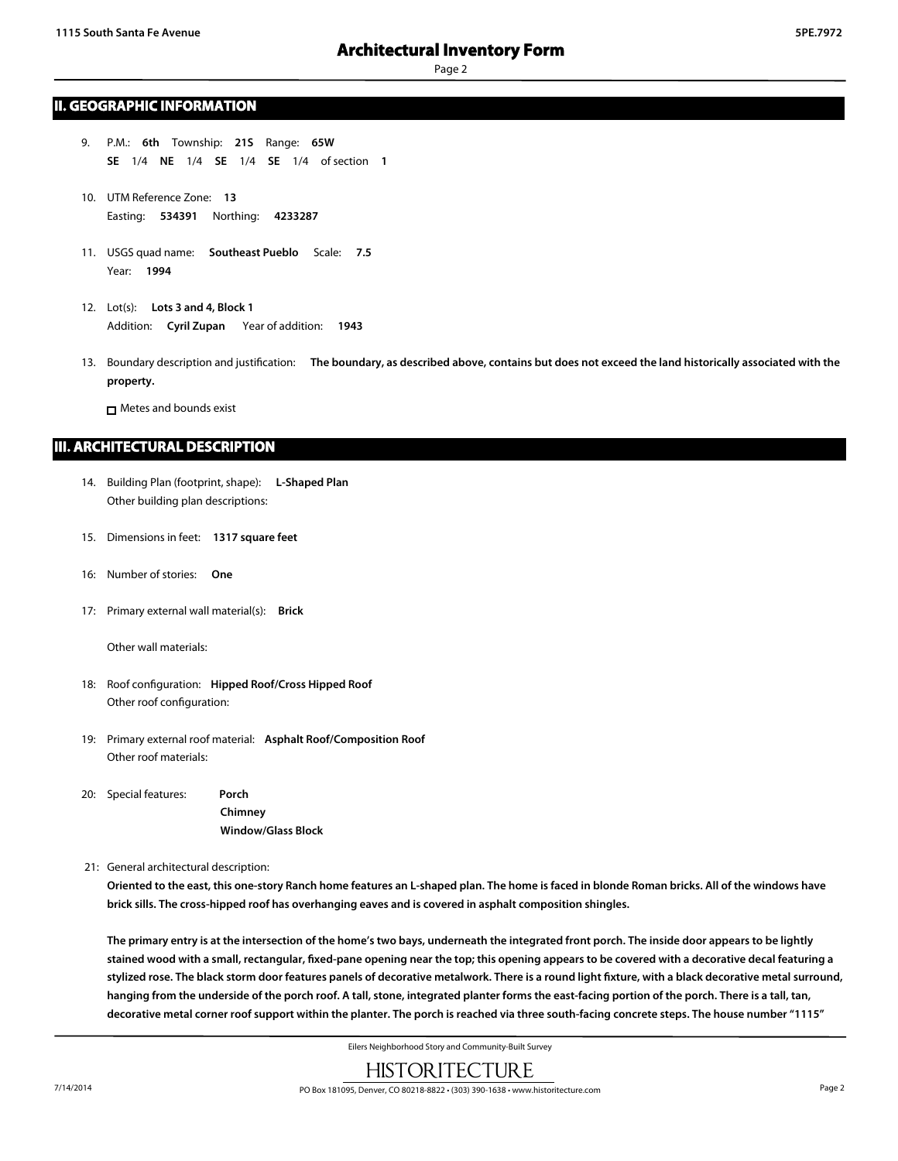### **II. GEOGRAPHIC INFORMATION**

- 9. P.M.: **6th** Township: **21S** Range: **65W SE** 1/4 **NE** 1/4 **SE** 1/4 **SE** 1/4 of section **1**
- 10. UTM Reference Zone: **13** Easting: **534391** Northing: **4233287**
- 11. USGS quad name: **Southeast Pueblo** Scale: **7.5** Year: **1994**
- 12. Lot(s): **Lots 3 and 4, Block 1** Addition: **Cyril Zupan** Year of addition: **1943**
- 13. Boundary description and justification: **The boundary, as described above, contains but does not exceed the land historically associated with the property.**

**n** Metes and bounds exist

## **III. ARCHITECTURAL DESCRIPTION**

- 14. Building Plan (footprint, shape): **L-Shaped Plan** Other building plan descriptions:
- 15. Dimensions in feet: **1317 square feet**
- 16: Number of stories: **One**
- 17: Primary external wall material(s): **Brick**

Other wall materials:

- 18: Roof configuration: **Hipped Roof/Cross Hipped Roof** Other roof configuration:
- 19: Primary external roof material: **Asphalt Roof/Composition Roof** Other roof materials:
- 20: Special features: **Porch**

**Chimney Window/Glass Block**

21: General architectural description:

**Oriented to the east, this one-story Ranch home features an L-shaped plan. The home is faced in blonde Roman bricks. All of the windows have brick sills. The cross-hipped roof has overhanging eaves and is covered in asphalt composition shingles.**

**The primary entry is at the intersection of the home's two bays, underneath the integrated front porch. The inside door appears to be lightly stained wood with a small, rectangular, fixed-pane opening near the top; this opening appears to be covered with a decorative decal featuring a** stylized rose. The black storm door features panels of decorative metalwork. There is a round light fixture, with a black decorative metal surround, **hanging from the underside of the porch roof. A tall, stone, integrated planter forms the east-facing portion of the porch. There is a tall, tan, decorative metal corner roof support within the planter. The porch is reached via three south-facing concrete steps. The house number "1115"**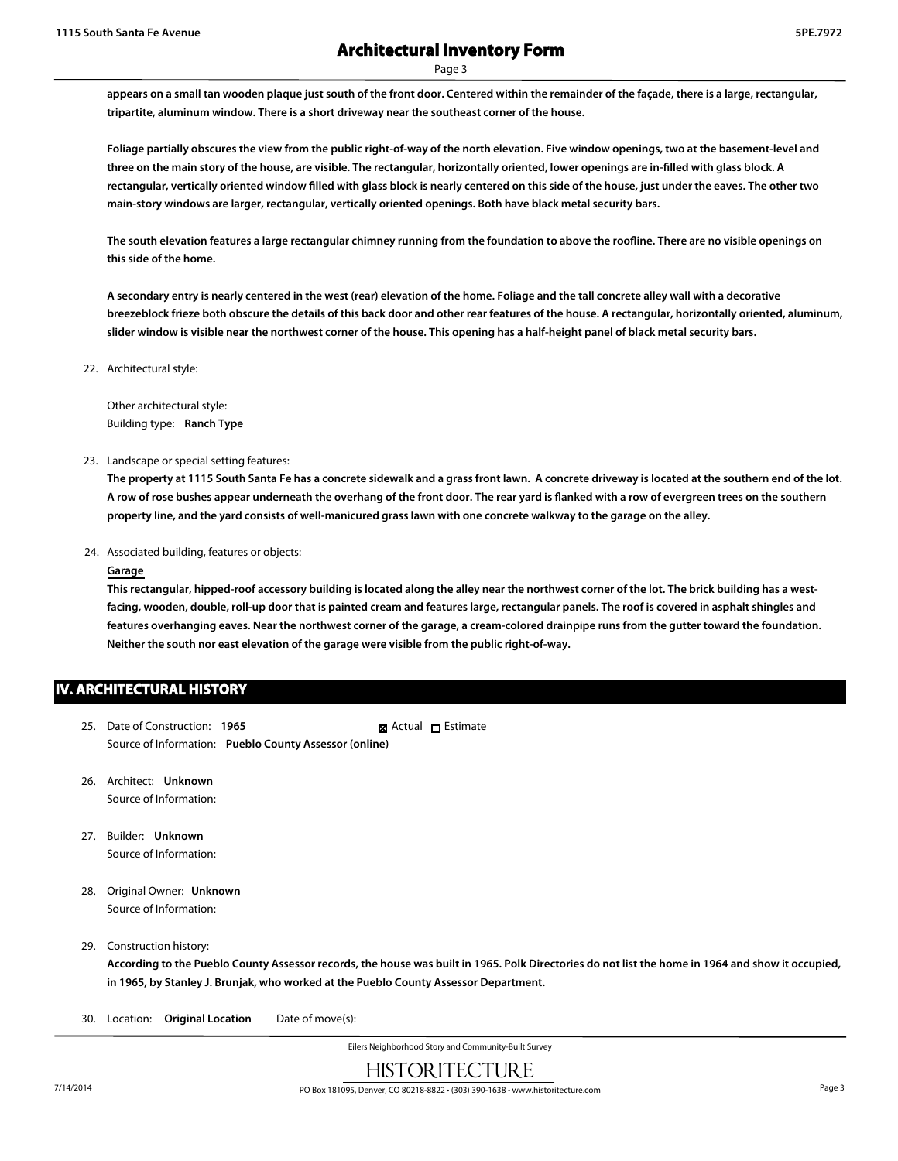**appears on a small tan wooden plaque just south of the front door. Centered within the remainder of the façade, there is a large, rectangular, tripartite, aluminum window. There is a short driveway near the southeast corner of the house.**

**Foliage partially obscures the view from the public right-of-way of the north elevation. Five window openings, two at the basement-level and three on the main story of the house, are visible. The rectangular, horizontally oriented, lower openings are in-filled with glass block. A rectangular, vertically oriented window filled with glass block is nearly centered on this side of the house, just under the eaves. The other two main-story windows are larger, rectangular, vertically oriented openings. Both have black metal security bars.**

**The south elevation features a large rectangular chimney running from the foundation to above the roofline. There are no visible openings on this side of the home.**

**A secondary entry is nearly centered in the west (rear) elevation of the home. Foliage and the tall concrete alley wall with a decorative breezeblock frieze both obscure the details of this back door and other rear features of the house. A rectangular, horizontally oriented, aluminum, slider window is visible near the northwest corner of the house. This opening has a half-height panel of black metal security bars.**

22. Architectural style:

Other architectural style: Building type: **Ranch Type**

#### 23. Landscape or special setting features:

**The property at 1115 South Santa Fe has a concrete sidewalk and a grass front lawn. A concrete driveway is located at the southern end of the lot. A row of rose bushes appear underneath the overhang of the front door. The rear yard is flanked with a row of evergreen trees on the southern property line, and the yard consists of well-manicured grass lawn with one concrete walkway to the garage on the alley.**

24. Associated building, features or objects:

#### **Garage**

**This rectangular, hipped-roof accessory building is located along the alley near the northwest corner of the lot. The brick building has a westfacing, wooden, double, roll-up door that is painted cream and features large, rectangular panels. The roof is covered in asphalt shingles and features overhanging eaves. Near the northwest corner of the garage, a cream-colored drainpipe runs from the gutter toward the foundation. Neither the south nor east elevation of the garage were visible from the public right-of-way.**

## **IV. ARCHITECTURAL HISTORY**

- 25. Date of Construction: **1965** Source of Information: **Pueblo County Assessor (online)** ■ Actual □ Estimate
- 26. Architect: **Unknown** Source of Information:
- 27. Builder: **Unknown** Source of Information:
- 28. Original Owner: **Unknown** Source of Information:

#### 29. Construction history:

**According to the Pueblo County Assessor records, the house was built in 1965. Polk Directories do not list the home in 1964 and show it occupied, in 1965, by Stanley J. Brunjak, who worked at the Pueblo County Assessor Department.**

30. Location: **Original Location** Date of move(s):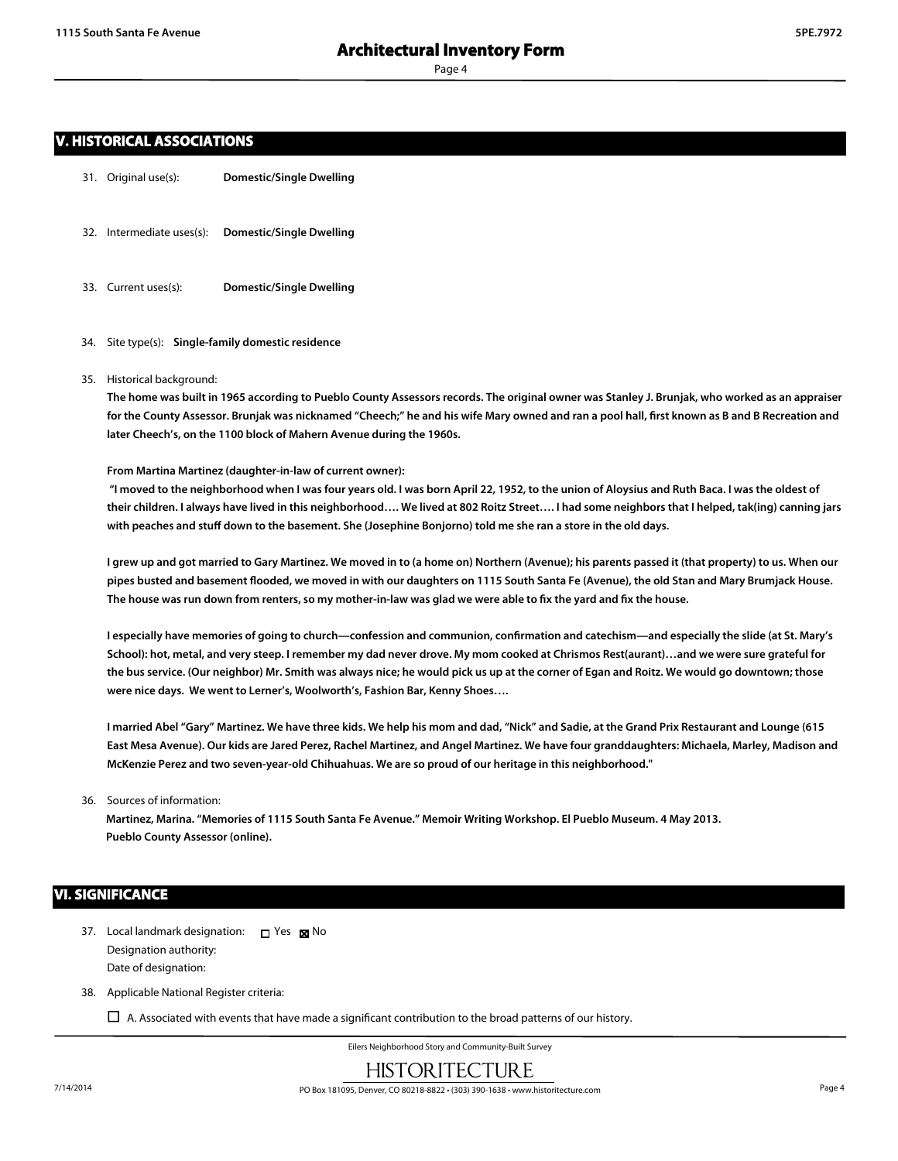## **V. HISTORICAL ASSOCIATIONS**

- 31. Original use(s): **Domestic/Single Dwelling**
- 32. Intermediate uses(s): **Domestic/Single Dwelling**
- 33. Current uses(s): **Domestic/Single Dwelling**
- 34. Site type(s): **Single-family domestic residence**
- 35. Historical background:

**The home was built in 1965 according to Pueblo County Assessors records. The original owner was Stanley J. Brunjak, who worked as an appraiser for the County Assessor. Brunjak was nicknamed "Cheech;" he and his wife Mary owned and ran a pool hall, first known as B and B Recreation and later Cheech's, on the 1100 block of Mahern Avenue during the 1960s.**

#### **From Martina Martinez (daughter-in-law of current owner):**

 **"I moved to the neighborhood when I was four years old. I was born April 22, 1952, to the union of Aloysius and Ruth Baca. I was the oldest of their children. I always have lived in this neighborhood…. We lived at 802 Roitz Street…. I had some neighbors that I helped, tak(ing) canning jars with peaches and stuff down to the basement. She (Josephine Bonjorno) told me she ran a store in the old days.**

**I grew up and got married to Gary Martinez. We moved in to (a home on) Northern (Avenue); his parents passed it (that property) to us. When our pipes busted and basement flooded, we moved in with our daughters on 1115 South Santa Fe (Avenue), the old Stan and Mary Brumjack House. The house was run down from renters, so my mother-in-law was glad we were able to fix the yard and fix the house.**

**I especially have memories of going to church—confession and communion, confirmation and catechism—and especially the slide (at St. Mary's School): hot, metal, and very steep. I remember my dad never drove. My mom cooked at Chrismos Rest(aurant)…and we were sure grateful for the bus service. (Our neighbor) Mr. Smith was always nice; he would pick us up at the corner of Egan and Roitz. We would go downtown; those were nice days. We went to Lerner's, Woolworth's, Fashion Bar, Kenny Shoes….**

**I married Abel "Gary" Martinez. We have three kids. We help his mom and dad, "Nick" and Sadie, at the Grand Prix Restaurant and Lounge (615 East Mesa Avenue). Our kids are Jared Perez, Rachel Martinez, and Angel Martinez. We have four granddaughters: Michaela, Marley, Madison and McKenzie Perez and two seven-year-old Chihuahuas. We are so proud of our heritage in this neighborhood."**

36. Sources of information:

**Martinez, Marina. "Memories of 1115 South Santa Fe Avenue." Memoir Writing Workshop. El Pueblo Museum. 4 May 2013. Pueblo County Assessor (online).**

### **VI. SIGNIFICANCE**

- 37. Local landmark designation:  $\Box$  Yes  $\boxtimes$  No Designation authority: Date of designation:
- 38. Applicable National Register criteria:
	- $\Box$  A. Associated with events that have made a significant contribution to the broad patterns of our history.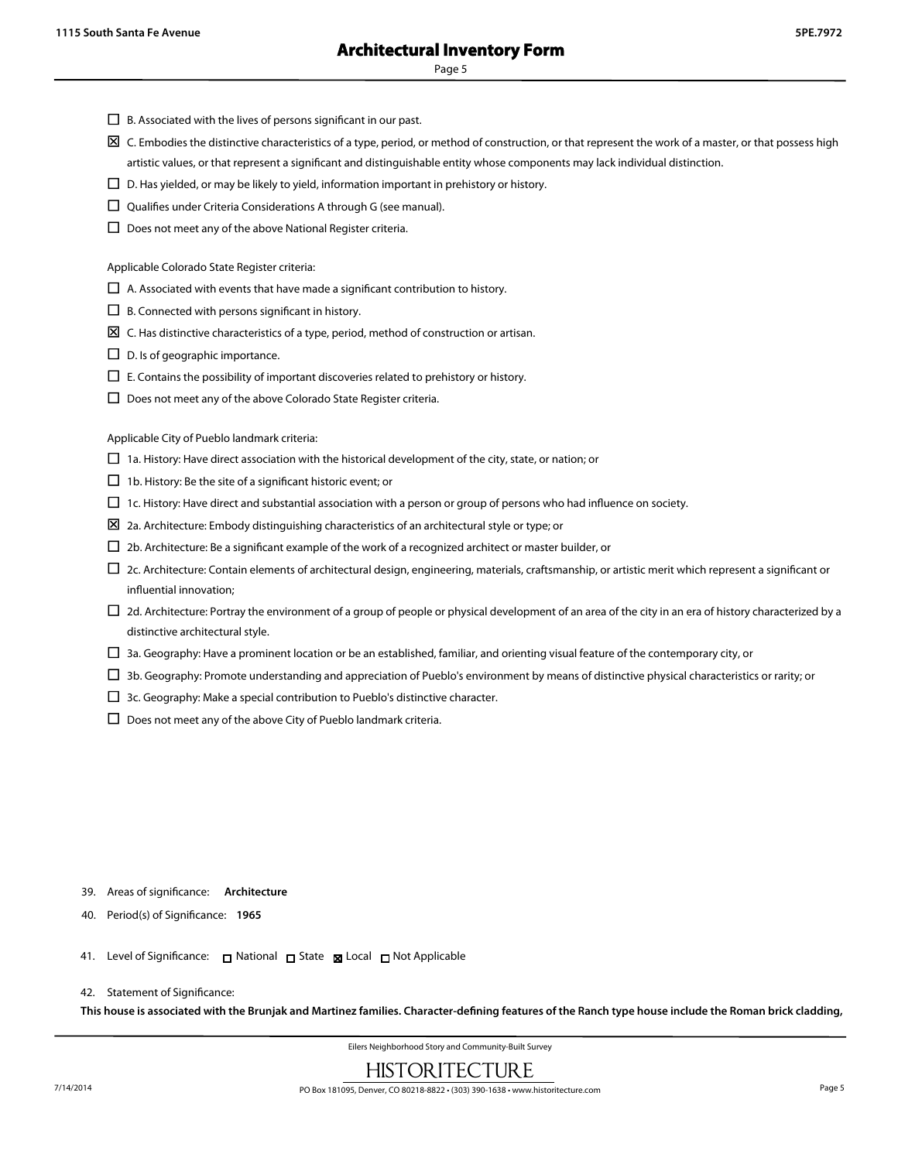- $\square$  B. Associated with the lives of persons significant in our past.
- $\boxtimes$  C. Embodies the distinctive characteristics of a type, period, or method of construction, or that represent the work of a master, or that possess high artistic values, or that represent a significant and distinguishable entity whose components may lack individual distinction.
- $\square$  D. Has yielded, or may be likely to yield, information important in prehistory or history.
- $\square$  Qualifies under Criteria Considerations A through G (see manual).
- $\square$  Does not meet any of the above National Register criteria.

Applicable Colorado State Register criteria:

- $\Box$  A. Associated with events that have made a significant contribution to history.
- $\Box$  B. Connected with persons significant in history.
- $\boxtimes\,$  C. Has distinctive characteristics of a type, period, method of construction or artisan.
- $\square$  D. Is of geographic importance.
- $\square$  E. Contains the possibility of important discoveries related to prehistory or history.
- $\square$  Does not meet any of the above Colorado State Register criteria.

Applicable City of Pueblo landmark criteria:

- $\Box$  1a. History: Have direct association with the historical development of the city, state, or nation; or
- $\Box$  1b. History: Be the site of a significant historic event; or
- $\Box$  1c. History: Have direct and substantial association with a person or group of persons who had influence on society.
- $\Sigma$  2a. Architecture: Embody distinguishing characteristics of an architectural style or type; or
- $\square$  2b. Architecture: Be a significant example of the work of a recognized architect or master builder, or
- $\Box$  2c. Architecture: Contain elements of architectural design, engineering, materials, craftsmanship, or artistic merit which represent a significant or influential innovation;
- $\Box$  2d. Architecture: Portray the environment of a group of people or physical development of an area of the city in an era of history characterized by a distinctive architectural style.
- $\Box$  3a. Geography: Have a prominent location or be an established, familiar, and orienting visual feature of the contemporary city, or
- $\Box$  3b. Geography: Promote understanding and appreciation of Pueblo's environment by means of distinctive physical characteristics or rarity; or
- $\square$  3c. Geography: Make a special contribution to Pueblo's distinctive character.
- $\square$  Does not meet any of the above City of Pueblo landmark criteria.

#### 39. Areas of significance: **Architecture**

- 40. Period(s) of Significance: **1965**
- 41. Level of Significance: □ National □ State 図 Local □ Not Applicable

#### 42. Statement of Significance:

**This house is associated with the Brunjak and Martinez families. Character-defining features of the Ranch type house include the Roman brick cladding,**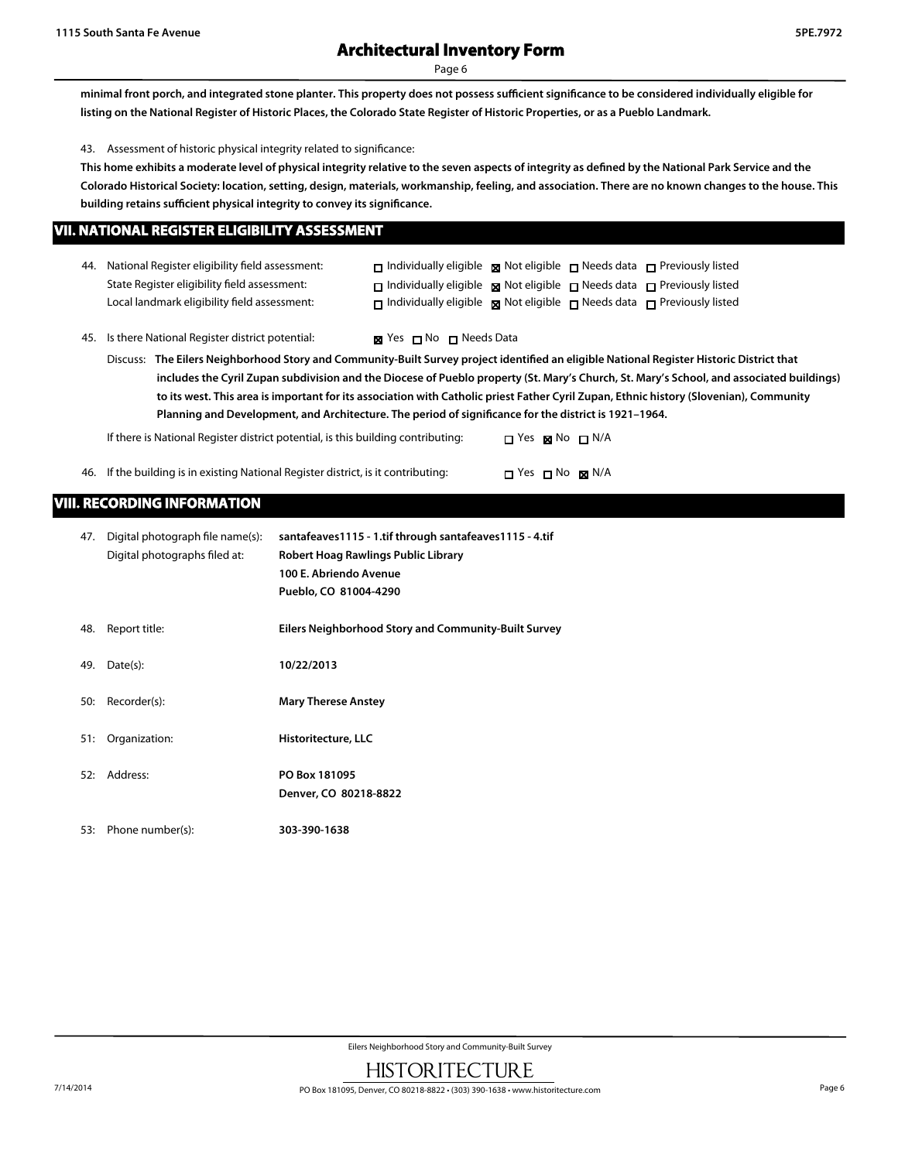## **Architectural Inventory Form**

Page 6

**minimal front porch, and integrated stone planter. This property does not possess sufficient significance to be considered individually eligible for listing on the National Register of Historic Places, the Colorado State Register of Historic Properties, or as a Pueblo Landmark.**

43. Assessment of historic physical integrity related to significance:

**This home exhibits a moderate level of physical integrity relative to the seven aspects of integrity as defined by the National Park Service and the Colorado Historical Society: location, setting, design, materials, workmanship, feeling, and association. There are no known changes to the house. This building retains sufficient physical integrity to convey its significance.**

|  | VII. NATIONAL REGISTER ELIGIBILITY ASSESSMENT |  |  |  |
|--|-----------------------------------------------|--|--|--|
|  |                                               |  |  |  |

|                                                                                                                                           | 44. National Register eligibility field assessment:<br>State Register eligibility field assessment:<br>Local landmark eligibility field assessment: | $\Box$ Individually eligible $\Box$ Not eligible $\Box$ Needs data $\Box$ Previously listed<br>$\Box$ Individually eligible $\Box$ Not eligible $\Box$ Needs data $\Box$ Previously listed<br>$\Box$ Individually eligible $\Box$ Not eligible $\Box$ Needs data $\Box$ Previously listed |
|-------------------------------------------------------------------------------------------------------------------------------------------|-----------------------------------------------------------------------------------------------------------------------------------------------------|-------------------------------------------------------------------------------------------------------------------------------------------------------------------------------------------------------------------------------------------------------------------------------------------|
|                                                                                                                                           | 45. Is there National Register district potential:                                                                                                  | $\boxtimes$ Yes $\Box$ No $\Box$ Needs Data                                                                                                                                                                                                                                               |
| Discuss: The Eilers Neighborhood Story and Community-Built Survey project identified an eligible National Register Historic District that |                                                                                                                                                     |                                                                                                                                                                                                                                                                                           |
|                                                                                                                                           |                                                                                                                                                     | includes the Cyril Zupan subdivision and the Diocese of Pueblo property (St. Mary's Church, St. Mary's School, and associated b                                                                                                                                                           |

**includes the Cyril Zupan subdivision and the Diocese of Pueblo property (St. Mary's Church, St. Mary's School, and associated buildings) to its west. This area is important for its association with Catholic priest Father Cyril Zupan, Ethnic history (Slovenian), Community Planning and Development, and Architecture. The period of significance for the district is 1921–1964.**

If there is National Register district potential, is this building contributing:  $\Box$  Yes  $\boxtimes$  No  $\Box$  N/A

| 46. If the building is in existing National Register district, is it contributing: |  | $\Box$ Yes $\Box$ No $\boxtimes$ N/A |  |
|------------------------------------------------------------------------------------|--|--------------------------------------|--|
|                                                                                    |  |                                      |  |

## **VIII. RECORDING INFORMATION**

| 47. | Digital photograph file name(s):<br>Digital photographs filed at: | santafeaves1115 - 1.tif through santafeaves1115 - 4.tif<br>Robert Hoag Rawlings Public Library<br>100 E. Abriendo Avenue<br>Pueblo, CO 81004-4290 |
|-----|-------------------------------------------------------------------|---------------------------------------------------------------------------------------------------------------------------------------------------|
| 48. | Report title:                                                     | Eilers Neighborhood Story and Community-Built Survey                                                                                              |
| 49. | Date(s):                                                          | 10/22/2013                                                                                                                                        |
| 50: | Recorder(s):                                                      | <b>Mary Therese Anstey</b>                                                                                                                        |
| 51: | Organization:                                                     | Historitecture, LLC                                                                                                                               |
| 52: | Address:                                                          | PO Box 181095<br>Denver, CO 80218-8822                                                                                                            |
| 53: | Phone number(s):                                                  | 303-390-1638                                                                                                                                      |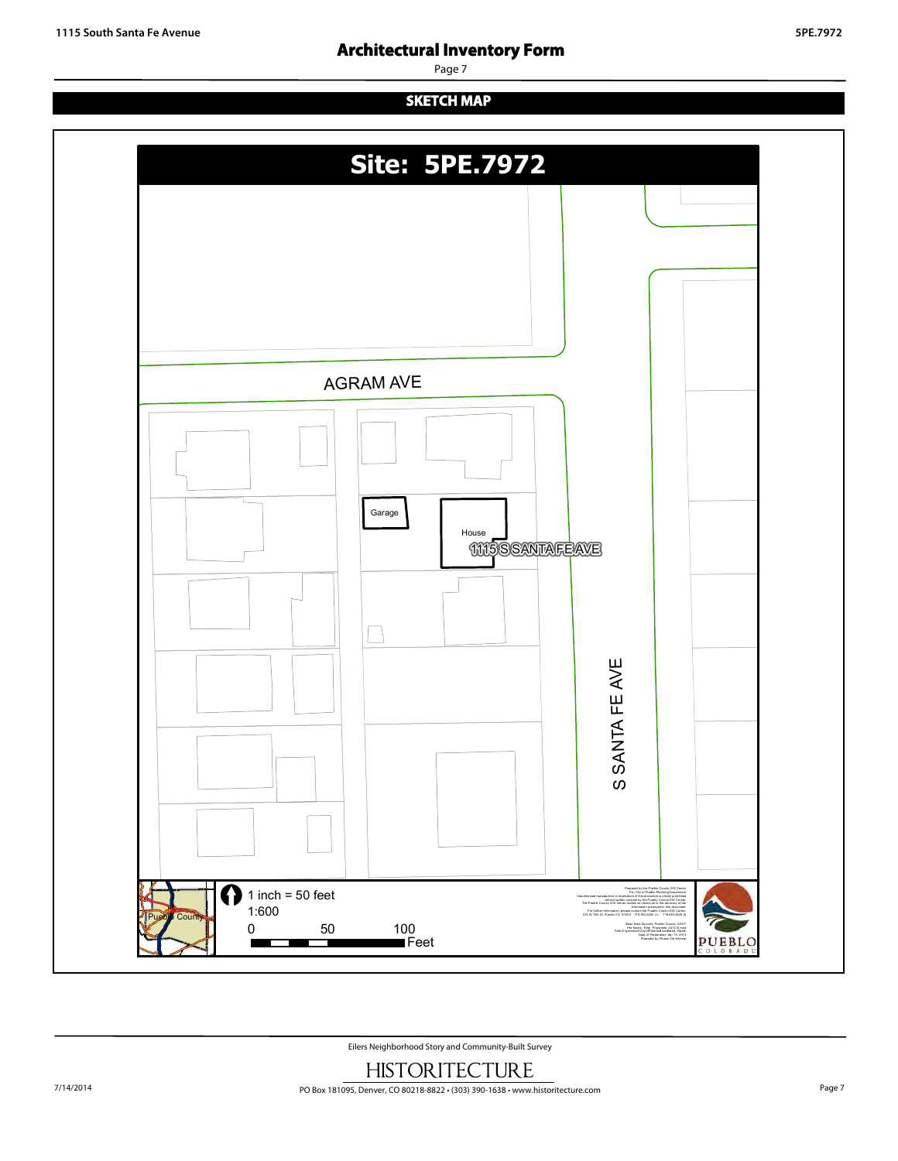## **Architectural Inventory Form**

Page 7

## **SKETCH MAP**